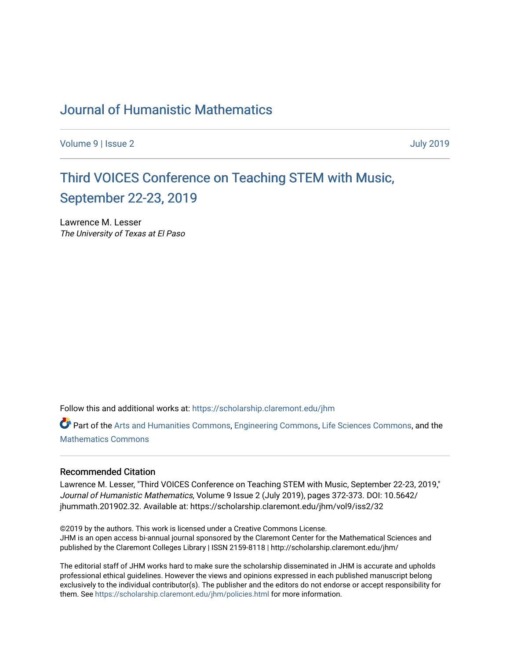### [Journal of Humanistic Mathematics](https://scholarship.claremont.edu/jhm)

[Volume 9](https://scholarship.claremont.edu/jhm/vol9) | [Issue 2](https://scholarship.claremont.edu/jhm/vol9/iss2) [July 2019](https://scholarship.claremont.edu/jhm/vol9/iss2) 

## Third VOICES Conference on Teaching STEM with Music, [September 22-23, 2019](https://scholarship.claremont.edu/jhm/vol9/iss2/32)

Lawrence M. Lesser The University of Texas at El Paso

Follow this and additional works at: [https://scholarship.claremont.edu/jhm](https://scholarship.claremont.edu/jhm?utm_source=scholarship.claremont.edu%2Fjhm%2Fvol9%2Fiss2%2F32&utm_medium=PDF&utm_campaign=PDFCoverPages)

Part of the [Arts and Humanities Commons,](http://network.bepress.com/hgg/discipline/438?utm_source=scholarship.claremont.edu%2Fjhm%2Fvol9%2Fiss2%2F32&utm_medium=PDF&utm_campaign=PDFCoverPages) [Engineering Commons](http://network.bepress.com/hgg/discipline/217?utm_source=scholarship.claremont.edu%2Fjhm%2Fvol9%2Fiss2%2F32&utm_medium=PDF&utm_campaign=PDFCoverPages), [Life Sciences Commons](http://network.bepress.com/hgg/discipline/1016?utm_source=scholarship.claremont.edu%2Fjhm%2Fvol9%2Fiss2%2F32&utm_medium=PDF&utm_campaign=PDFCoverPages), and the [Mathematics Commons](http://network.bepress.com/hgg/discipline/174?utm_source=scholarship.claremont.edu%2Fjhm%2Fvol9%2Fiss2%2F32&utm_medium=PDF&utm_campaign=PDFCoverPages)

### Recommended Citation

Lawrence M. Lesser, "Third VOICES Conference on Teaching STEM with Music, September 22-23, 2019," Journal of Humanistic Mathematics, Volume 9 Issue 2 (July 2019), pages 372-373. DOI: 10.5642/ jhummath.201902.32. Available at: https://scholarship.claremont.edu/jhm/vol9/iss2/32

©2019 by the authors. This work is licensed under a Creative Commons License. JHM is an open access bi-annual journal sponsored by the Claremont Center for the Mathematical Sciences and published by the Claremont Colleges Library | ISSN 2159-8118 | http://scholarship.claremont.edu/jhm/

The editorial staff of JHM works hard to make sure the scholarship disseminated in JHM is accurate and upholds professional ethical guidelines. However the views and opinions expressed in each published manuscript belong exclusively to the individual contributor(s). The publisher and the editors do not endorse or accept responsibility for them. See<https://scholarship.claremont.edu/jhm/policies.html> for more information.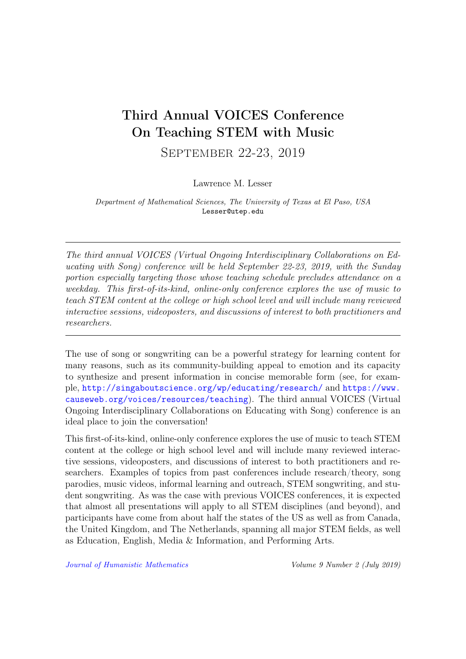# Third Annual VOICES Conference On Teaching STEM with Music

September 22-23, 2019

Lawrence M. Lesser

Department of Mathematical Sciences, The University of Texas at El Paso, USA Lesser@utep.edu

The third annual VOICES (Virtual Ongoing Interdisciplinary Collaborations on Educating with Song) conference will be held September 22-23, 2019, with the Sunday portion especially targeting those whose teaching schedule precludes attendance on a weekday. This first-of-its-kind, online-only conference explores the use of music to teach STEM content at the college or high school level and will include many reviewed interactive sessions, videoposters, and discussions of interest to both practitioners and researchers.

The use of song or songwriting can be a powerful strategy for learning content for many reasons, such as its community-building appeal to emotion and its capacity to synthesize and present information in concise memorable form (see, for example, <http://singaboutscience.org/wp/educating/research/> and [https://www.](https://www.causeweb.org/voices/resources/teaching) [causeweb.org/voices/resources/teaching](https://www.causeweb.org/voices/resources/teaching)). The third annual VOICES (Virtual Ongoing Interdisciplinary Collaborations on Educating with Song) conference is an ideal place to join the conversation!

This first-of-its-kind, online-only conference explores the use of music to teach STEM content at the college or high school level and will include many reviewed interactive sessions, videoposters, and discussions of interest to both practitioners and researchers. Examples of topics from past conferences include research/theory, song parodies, music videos, informal learning and outreach, STEM songwriting, and student songwriting. As was the case with previous VOICES conferences, it is expected that almost all presentations will apply to all STEM disciplines (and beyond), and participants have come from about half the states of the US as well as from Canada, the United Kingdom, and The Netherlands, spanning all major STEM fields, as well as Education, English, Media & Information, and Performing Arts.

[Journal of Humanistic Mathematics](http://scholarship.claremont.edu/jhm/) Volume 9 Number 2 (July 2019)